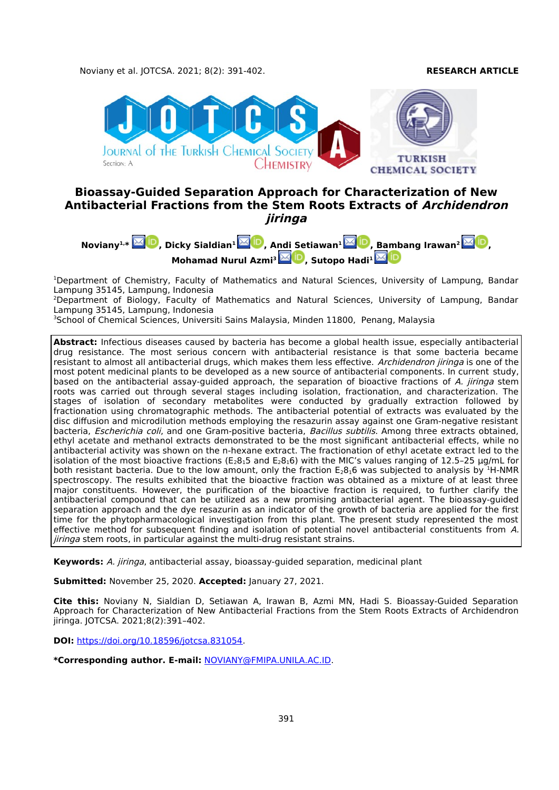

# **Bioassay-Guided Separation Approach for Characterization of New Antibacterial Fractions from the Stem Roots Extracts of Archidendron jiringa**



<sup>1</sup>Department of Chemistry, Faculty of Mathematics and Natural Sciences, University of Lampung, Bandar Lampung 35145, Lampung, Indonesia

<sup>2</sup>Department of Biology, Faculty of Mathematics and Natural Sciences, University of Lampung, Bandar Lampung 35145, Lampung, Indonesia

<sup>3</sup>School of Chemical Sciences, Universiti Sains Malaysia, Minden 11800, Penang, Malaysia

**Abstract:** Infectious diseases caused by bacteria has become a global health issue, especially antibacterial drug resistance. The most serious concern with antibacterial resistance is that some bacteria became resistant to almost all antibacterial drugs, which makes them less effective. Archidendron jiringa is one of the most potent medicinal plants to be developed as a new source of antibacterial components. In current study, based on the antibacterial assay-quided approach, the separation of bioactive fractions of A. *jiringa* stem roots was carried out through several stages including isolation, fractionation, and characterization. The stages of isolation of secondary metabolites were conducted by gradually extraction followed by fractionation using chromatographic methods. The antibacterial potential of extracts was evaluated by the disc diffusion and microdilution methods employing the resazurin assay against one Gram-negative resistant bacteria, Escherichia coli, and one Gram-positive bacteria, Bacillus subtilis. Among three extracts obtained, ethyl acetate and methanol extracts demonstrated to be the most significant antibacterial effects, while no antibacterial activity was shown on the n-hexane extract. The fractionation of ethyl acetate extract led to the isolation of the most bioactive fractions ( $E_28_15$  and  $E_28_16$ ) with the MIC's values ranging of 12.5–25 µg/mL for both resistant bacteria. Due to the low amount, only the fraction  $E_28_16$  was subjected to analysis by <sup>1</sup>H-NMR spectroscopy. The results exhibited that the bioactive fraction was obtained as a mixture of at least three major constituents. However, the purification of the bioactive fraction is required, to further clarify the antibacterial compound that can be utilized as a new promising antibacterial agent. The bioassay-guided separation approach and the dye resazurin as an indicator of the growth of bacteria are applied for the first time for the phytopharmacological investigation from this plant. The present study represented the most effective method for subsequent finding and isolation of potential novel antibacterial constituents from A. jiringa stem roots, in particular against the multi-drug resistant strains.

**Keywords:** A. jiringa, antibacterial assay, bioassay-guided separation, medicinal plant

**Submitted:** November 25, 2020. **Accepted:** January 27, 2021.

**Cite this:** Noviany N, Sialdian D, Setiawan A, Irawan B, Azmi MN, Hadi S. Bioassay-Guided Separation Approach for Characterization of New Antibacterial Fractions from the Stem Roots Extracts of Archidendron jiringa. JOTCSA. 2021;8(2):391–402.

**DOI:** [https://doi.org/10.18596/jotcsa.831054.](https://doi.org/10.18596/jotcsa.831054)

**\*Corresponding author. E-mail:** [NOVIANY@FMIPA.UNILA.AC.ID.](mailto:NOVIANY@FMIPA.UNILA.AC.ID)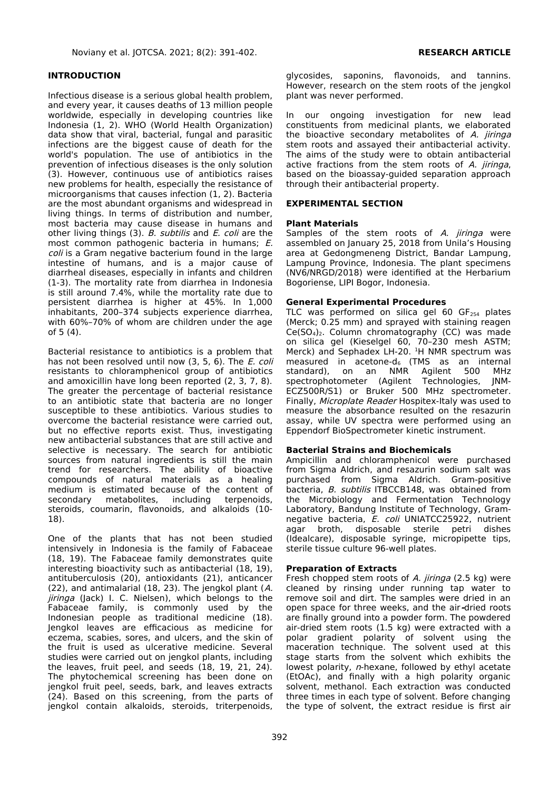### **INTRODUCTION**

Infectious disease is a serious global health problem, and every year, it causes deaths of 13 million people worldwide, especially in developing countries like Indonesia (1, 2). WHO (World Health Organization) data show that viral, bacterial, fungal and parasitic infections are the biggest cause of death for the world's population. The use of antibiotics in the prevention of infectious diseases is the only solution (3). However, continuous use of antibiotics raises new problems for health, especially the resistance of microorganisms that causes infection (1, 2). Bacteria are the most abundant organisms and widespread in living things. In terms of distribution and number, most bacteria may cause disease in humans and other living things (3). B. subtilis and E. coli are the most common pathogenic bacteria in humans; E. coli is a Gram negative bacterium found in the large intestine of humans, and is a major cause of diarrheal diseases, especially in infants and children (1-3). The mortality rate from diarrhea in Indonesia is still around 7.4%, while the mortality rate due to persistent diarrhea is higher at 45%. In 1,000 inhabitants, 200–374 subjects experience diarrhea, with 60%–70% of whom are children under the age of 5 (4).

Bacterial resistance to antibiotics is a problem that has not been resolved until now (3, 5, 6). The E. coli resistants to chloramphenicol group of antibiotics and amoxicillin have long been reported (2, 3, 7, 8). The greater the percentage of bacterial resistance to an antibiotic state that bacteria are no longer susceptible to these antibiotics. Various studies to overcome the bacterial resistance were carried out, but no effective reports exist. Thus, investigating new antibacterial substances that are still active and selective is necessary. The search for antibiotic sources from natural ingredients is still the main trend for researchers. The ability of bioactive compounds of natural materials as a healing medium is estimated because of the content of secondary metabolites, including terpenoids, steroids, coumarin, flavonoids, and alkaloids (10- 18).

One of the plants that has not been studied intensively in Indonesia is the family of Fabaceae (18, 19). The Fabaceae family demonstrates quite interesting bioactivity such as antibacterial (18, 19), antituberculosis (20), antioxidants (21), anticancer (22), and antimalarial (18, 23). The jengkol plant (A. jiringa (Jack) I. C. Nielsen), which belongs to the Fabaceae family, is commonly used by the Indonesian people as traditional medicine (18). Jengkol leaves are efficacious as medicine for eczema, scabies, sores, and ulcers, and the skin of the fruit is used as ulcerative medicine. Several studies were carried out on jengkol plants, including the leaves, fruit peel, and seeds (18, 19, 21, 24). The phytochemical screening has been done on jengkol fruit peel, seeds, bark, and leaves extracts (24). Based on this screening, from the parts of jengkol contain alkaloids, steroids, triterpenoids,

glycosides, saponins, flavonoids, and tannins. However, research on the stem roots of the jengkol plant was never performed.

In our ongoing investigation for new lead constituents from medicinal plants, we elaborated the bioactive secondary metabolites of A. jiringa stem roots and assayed their antibacterial activity. The aims of the study were to obtain antibacterial active fractions from the stem roots of  $A$ . jiringa, based on the bioassay-guided separation approach through their antibacterial property.

### **EXPERIMENTAL SECTION**

#### **Plant Materials**

Samples of the stem roots of A. jiringa were assembled on January 25, 2018 from Unila's Housing area at Gedongmeneng District, Bandar Lampung, Lampung Province, Indonesia. The plant specimens (NV6/NRGD/2018) were identified at the Herbarium Bogoriense, LIPI Bogor, Indonesia.

#### **General Experimental Procedures**

TLC was performed on silica gel 60  $GF<sub>254</sub>$  plates (Merck; 0.25 mm) and sprayed with staining reagen  $Ce(SO<sub>4</sub>)<sub>2</sub>$ . Column chromatography (CC) was made on silica gel (Kieselgel 60, 70–230 mesh ASTM; Merck) and Sephadex LH-20. <sup>1</sup>H NMR spectrum was measured in acetone-d $_6$  (TMS as an internal standard), on an NMR Agilent 500 MHz spectrophotometer (Agilent Technologies, JNM-ECZ500R/S1) or Bruker 500 MHz spectrometer. Finally, Microplate Reader Hospitex-Italy was used to measure the absorbance resulted on the resazurin assay, while UV spectra were performed using an Eppendorf BioSpectrometer kinetic instrument.

#### **Bacterial Strains and Biochemicals**

Ampicillin and chloramphenicol were purchased from Sigma Aldrich, and resazurin sodium salt was purchased from Sigma Aldrich. Gram-positive bacteria, B. subtilis ITBCCB148, was obtained from the Microbiology and Fermentation Technology Laboratory, Bandung Institute of Technology, Gramnegative bacteria, E. coli UNIATCC25922, nutrient agar broth, disposable sterile petri dishes (Idealcare), disposable syringe, micropipette tips, sterile tissue culture 96-well plates.

#### **Preparation of Extracts**

Fresh chopped stem roots of A. jiringa (2.5 kg) were cleaned by rinsing under running tap water to remove soil and dirt. The samples were dried in an open space for three weeks, and the air**-**dried roots are finally ground into a powder form. The powdered air-dried stem roots (1.5 kg) were extracted with a polar gradient polarity of solvent using the maceration technique. The solvent used at this stage starts from the solvent which exhibits the lowest polarity, n-hexane, followed by ethyl acetate (EtOAc), and finally with a high polarity organic solvent, methanol. Each extraction was conducted three times in each type of solvent. Before changing the type of solvent, the extract residue is first air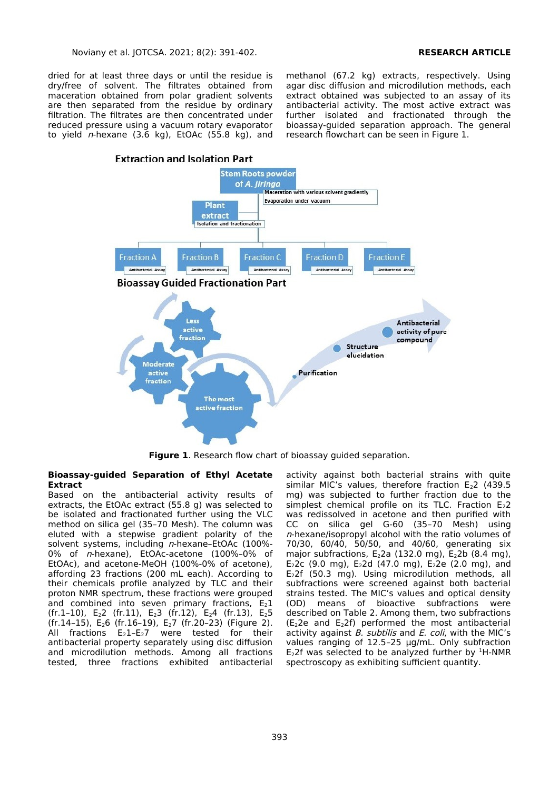dried for at least three days or until the residue is dry/free of solvent. The filtrates obtained from maceration obtained from polar gradient solvents are then separated from the residue by ordinary filtration. The filtrates are then concentrated under reduced pressure using a vacuum rotary evaporator to yield  $n$ -hexane (3.6 kg), EtOAc (55.8 kg), and

methanol (67.2 kg) extracts, respectively. Using agar disc diffusion and microdilution methods, each extract obtained was subjected to an assay of its antibacterial activity. The most active extract was further isolated and fractionated through the bioassay-guided separation approach. The general research flowchart can be seen in Figure 1.



**Figure 1**. Research flow chart of bioassay guided separation.

#### **Bioassay-guided Separation of Ethyl Acetate Extract**

Based on the antibacterial activity results of extracts, the EtOAc extract (55.8 g) was selected to be isolated and fractionated further using the VLC method on silica gel (35–70 Mesh). The column was eluted with a stepwise gradient polarity of the solvent systems, including  $n$ -hexane-EtOAc (100%-0% of n-hexane), EtOAc-acetone (100%–0% of EtOAc), and acetone-MeOH (100%-0% of acetone), affording 23 fractions (200 mL each). According to their chemicals profile analyzed by TLC and their proton NMR spectrum, these fractions were grouped and combined into seven primary fractions,  $E_2 1$ (fr.1–10), E<sub>2</sub>2 (fr.11), E<sub>2</sub>3 (fr.12), E<sub>2</sub>4 (fr.13), E<sub>2</sub>5 (fr.14–15), E26 (fr.16–19), E27 (fr.20–23) (Figure 2). All fractions  $E_2$ 1- $E_2$ 7 were tested for their antibacterial property separately using disc diffusion and microdilution methods. Among all fractions tested, three fractions exhibited antibacterial

activity against both bacterial strains with quite similar MIC's values, therefore fraction  $E_2$ 2 (439.5 mg) was subjected to further fraction due to the simplest chemical profile on its TLC. Fraction  $E_2$ 2 was redissolved in acetone and then purified with CC on silica gel G-60 (35–70 Mesh) using  $n$ -hexane/isopropyl alcohol with the ratio volumes of 70/30, 60/40, 50/50, and 40/60, generating six major subfractions,  $E_2$ 2a (132.0 mg),  $E_2$ 2b (8.4 mg), E<sub>2</sub>2c (9.0 mg), E<sub>2</sub>2d (47.0 mg), E<sub>2</sub>2e (2.0 mg), and E22f (50.3 mg). Using microdilution methods, all subfractions were screened against both bacterial strains tested. The MIC's values and optical density (OD) means of bioactive subfractions were described on Table 2. Among them, two subfractions (E22e and E22f) performed the most antibacterial activity against  $B$ . subtilis and  $E$ . coli, with the MIC's values ranging of 12.5–25 µg/mL. Only subfraction E<sub>2</sub>2f was selected to be analyzed further by  $1H-NMR$ spectroscopy as exhibiting sufficient quantity.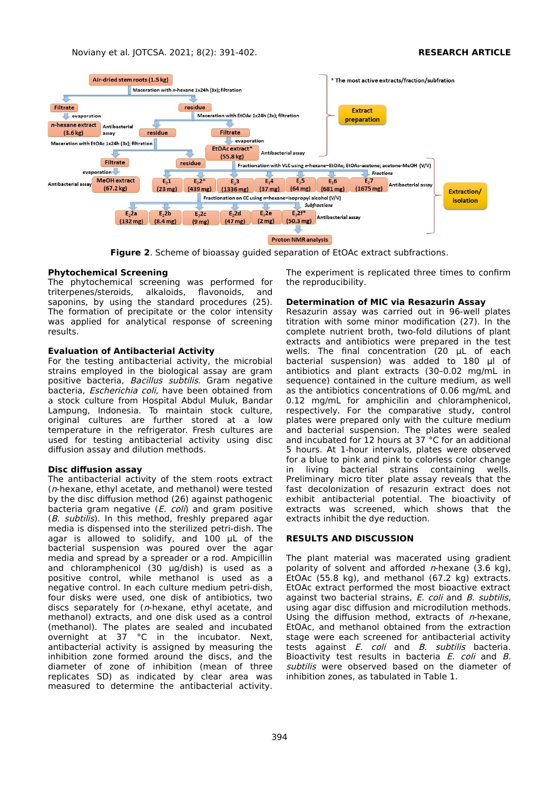

**Figure 2**. Scheme of bioassay guided separation of EtOAc extract subfractions.

#### **Phytochemical Screening**

The phytochemical screening was performed for triterpenes/steroids, alkaloids, flavonoids, and saponins, by using the standard procedures (25). The formation of precipitate or the color intensity was applied for analytical response of screening results.

#### **Evaluation of Antibacterial Activity**

For the testing antibacterial activity, the microbial strains employed in the biological assay are gram positive bacteria, Bacillus subtilis. Gram negative bacteria, Escherichia coli, have been obtained from a stock culture from Hospital Abdul Muluk, Bandar Lampung, Indonesia. To maintain stock culture, original cultures are further stored at a low temperature in the refrigerator. Fresh cultures are used for testing antibacterial activity using disc diffusion assay and dilution methods.

## **Disc diffusion assay**

The antibacterial activity of the stem roots extract (n-hexane, ethyl acetate, and methanol) were tested by the disc diffusion method (26) against pathogenic bacteria gram negative  $(E. \text{ coli})$  and gram positive (B. subtilis). In this method, freshly prepared agar media is dispensed into the sterilized petri-dish. The agar is allowed to solidify, and 100 µL of the bacterial suspension was poured over the agar media and spread by a spreader or a rod. Ampicillin and chloramphenicol (30 µg/dish) is used as a positive control, while methanol is used as a negative control. In each culture medium petri-dish, four disks were used, one disk of antibiotics, two discs separately for ( $n$ -hexane, ethyl acetate, and methanol) extracts, and one disk used as a control (methanol). The plates are sealed and incubated overnight at 37 °C in the incubator. Next, antibacterial activity is assigned by measuring the inhibition zone formed around the discs, and the diameter of zone of inhibition (mean of three replicates SD) as indicated by clear area was measured to determine the antibacterial activity.

The experiment is replicated three times to confirm the reproducibility.

#### **Determination of MIC via Resazurin Assay**

Resazurin assay was carried out in 96-well plates titration with some minor modification (27). In the complete nutrient broth, two-fold dilutions of plant extracts and antibiotics were prepared in the test wells. The final concentration (20 µL of each bacterial suspension) was added to 180 µl of antibiotics and plant extracts (30–0.02 mg/mL in sequence) contained in the culture medium, as well as the antibiotics concentrations of 0.06 mg/mL and 0.12 mg/mL for amphicilin and chloramphenicol, respectively. For the comparative study, control plates were prepared only with the culture medium and bacterial suspension. The plates were sealed and incubated for 12 hours at 37 °C for an additional 5 hours. At 1-hour intervals, plates were observed for a blue to pink and pink to colorless color change<br>in living bacterial strains containing wells. in living bacterial strains containing wells. Preliminary micro titer plate assay reveals that the fast decolonization of resazurin extract does not exhibit antibacterial potential. The bioactivity of extracts was screened, which shows that the extracts inhibit the dye reduction.

#### **RESULTS AND DISCUSSION**

The plant material was macerated using gradient polarity of solvent and afforded  $n$ -hexane (3.6 kg), EtOAc (55.8 kg), and methanol (67.2 kg) extracts. EtOAc extract performed the most bioactive extract against two bacterial strains, E. coli and B. subtilis, using agar disc diffusion and microdilution methods. Using the diffusion method, extracts of  $n$ -hexane, EtOAc, and methanol obtained from the extraction stage were each screened for antibacterial activity tests against *E. coli* and *B. subtilis* bacteria. Bioactivity test results in bacteria E. coli and B. subtilis were observed based on the diameter of inhibition zones, as tabulated in Table 1.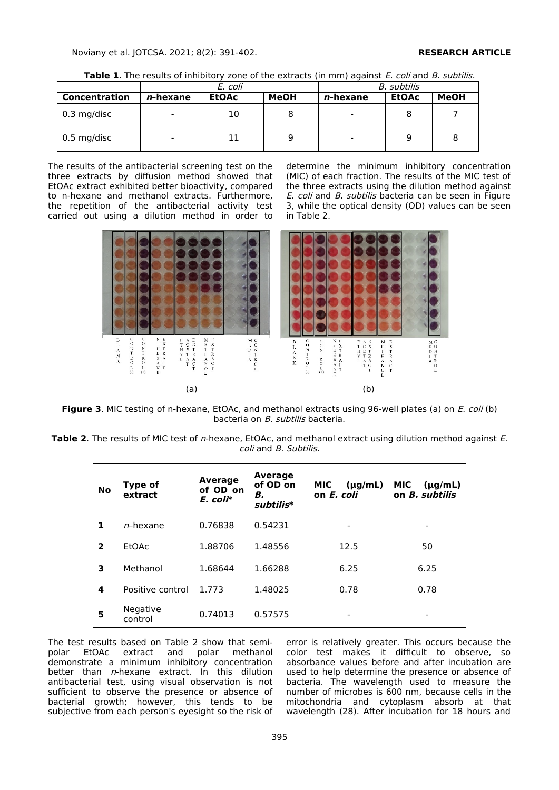**Table 1**. The results of inhibitory zone of the extracts (in mm) against *E. coli* and *B. subtilis.* 

|               | E. coli                  |              |      | B. subtilis              |              |             |
|---------------|--------------------------|--------------|------|--------------------------|--------------|-------------|
| Concentration | <i>n</i> -hexane         | <b>EtOAc</b> | MeOH | <i>n</i> -hexane         | <b>EtOAc</b> | <b>MeOH</b> |
| $0.3$ mg/disc | $\overline{\phantom{0}}$ | 10           |      | $\overline{\phantom{0}}$ |              |             |
| $0.5$ mg/disc | $\overline{\phantom{0}}$ | 11           |      | $\overline{\phantom{0}}$ | 9            |             |

The results of the antibacterial screening test on the three extracts by diffusion method showed that EtOAc extract exhibited better bioactivity, compared to n-hexane and methanol extracts. Furthermore, the repetition of the antibacterial activity test carried out using a dilution method in order to

determine the minimum inhibitory concentration (MIC) of each fraction. The results of the MIC test of the three extracts using the dilution method against E. coli and B. subtilis bacteria can be seen in Figure 3, while the optical density (OD) values can be seen in Table 2.



**Figure 3**. MIC testing of n-hexane, EtOAc, and methanol extracts using 96-well plates (a) on *E. coli* (b) bacteria on B. subtilis bacteria.

**Table 2**. The results of MIC test of n-hexane, EtOAc, and methanol extract using dilution method against E. coli and B. Subtilis.

| <b>No</b>      | <b>Type of</b><br>extract | <b>Average</b><br>of OD on<br>$E.$ coli $*$ | <b>Average</b><br>of OD on<br>В.<br>subtilis* | <b>MIC</b><br>$(\mu g/mL)$<br>on E. coli | <b>MIC</b><br>$(\mu q/mL)$<br>on <i>B. subtilis</i> |
|----------------|---------------------------|---------------------------------------------|-----------------------------------------------|------------------------------------------|-----------------------------------------------------|
| 1              | $n$ -hexane               | 0.76838                                     | 0.54231                                       |                                          | -                                                   |
| $\overline{2}$ | EtOAc                     | 1.88706                                     | 1.48556                                       | 12.5                                     | 50                                                  |
| 3              | Methanol                  | 1.68644                                     | 1.66288                                       | 6.25                                     | 6.25                                                |
| 4              | Positive control          | 1.773                                       | 1.48025                                       | 0.78                                     | 0.78                                                |
| 5              | Negative<br>control       | 0.74013                                     | 0.57575                                       | -                                        | -                                                   |

The test results based on Table 2 show that semipolar EtOAc extract and polar methanol demonstrate a minimum inhibitory concentration better than n-hexane extract. In this dilution antibacterial test, using visual observation is not sufficient to observe the presence or absence of bacterial growth; however, this tends to be subjective from each person's eyesight so the risk of error is relatively greater. This occurs because the color test makes it difficult to observe, so absorbance values before and after incubation are used to help determine the presence or absence of bacteria. The wavelength used to measure the number of microbes is 600 nm, because cells in the mitochondria and cytoplasm absorb at that wavelength (28). After incubation for 18 hours and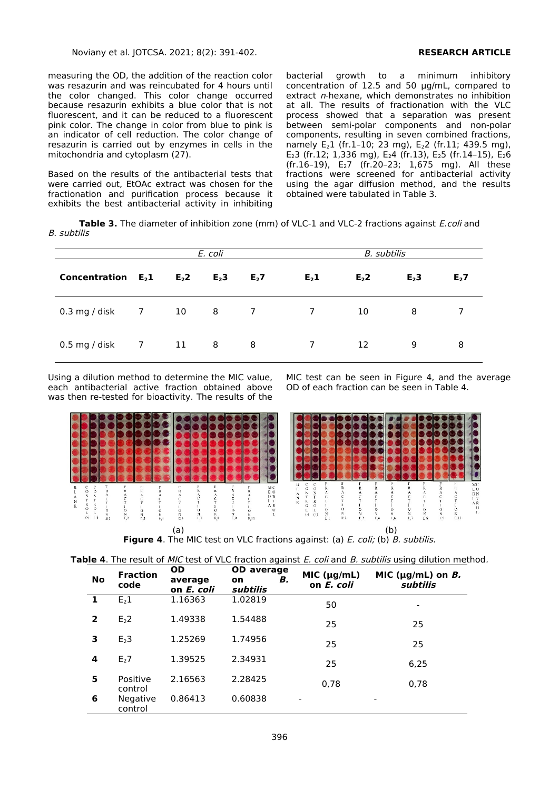measuring the OD, the addition of the reaction color was resazurin and was reincubated for 4 hours until the color changed. This color change occurred because resazurin exhibits a blue color that is not fluorescent, and it can be reduced to a fluorescent pink color. The change in color from blue to pink is an indicator of cell reduction. The color change of resazurin is carried out by enzymes in cells in the mitochondria and cytoplasm (27).

Based on the results of the antibacterial tests that were carried out, EtOAc extract was chosen for the fractionation and purification process because it exhibits the best antibacterial activity in inhibiting

bacterial growth to a minimum inhibitory concentration of 12.5 and 50 µg/mL, compared to extract *n*-hexane, which demonstrates no inhibition at all. The results of fractionation with the VLC process showed that a separation was present between semi-polar components and non-polar components, resulting in seven combined fractions, namely  $E_2$ 1 (fr.1–10; 23 mg),  $E_2$  (fr.11; 439.5 mg), E<sub>2</sub>3 (fr.12; 1,336 mg), E<sub>2</sub>4 (fr.13), E<sub>2</sub>5 (fr.14-15), E<sub>2</sub>6 (fr.16–19), E27 (fr.20–23; 1,675 mg). All these fractions were screened for antibacterial activity using the agar diffusion method, and the results obtained were tabulated in Table 3.

**Table 3.** The diameter of inhibition zone (mm) of VLC-1 and VLC-2 fractions against E.coli and B. subtilis

|                       | E. coli |                | B. subtilis |                  |                |                  |                  |         |
|-----------------------|---------|----------------|-------------|------------------|----------------|------------------|------------------|---------|
| Concentration $E_2$ 1 |         | E <sub>2</sub> | $E2$ 3      | E <sub>2</sub> 7 | $E_2$ 1        | E <sub>2</sub> 2 | E <sub>2</sub> 3 | $E_2$ 7 |
| $0.3$ mg / disk $7$   |         | 10 8           |             | $\overline{7}$   | $\overline{7}$ | 10               | 8                |         |
| $0.5$ mg / disk       | 7       | - 11           | - 8         | - 8              | $7^{\circ}$    | 12               | 9                | 8       |

Using a dilution method to determine the MIC value, each antibacterial active fraction obtained above was then re-tested for bioactivity. The results of the MIC test can be seen in Figure 4, and the average OD of each fraction can be seen in Table 4.



**Table 4**. The result of *MIC* test of VLC fraction against *E. coli* and *B. subtilis* using dilution method.

| <b>No</b>      | <b>Fraction</b><br>code    | OD.<br>average<br>on E. coli | <b>OD</b> average<br>В.<br>on<br>subtilis | MIC $(\mu g/mL)$<br>on E. coli | MIC ( $\mu$ g/mL) on <i>B</i> .<br>subtilis |
|----------------|----------------------------|------------------------------|-------------------------------------------|--------------------------------|---------------------------------------------|
| 1              | E <sub>2</sub> 1           | 1.16363                      | 1.02819                                   | 50                             |                                             |
| $\overline{2}$ | E <sub>2</sub> 2           | 1.49338                      | 1.54488                                   | 25                             | 25                                          |
| 3              | E <sub>2</sub> 3           | 1.25269                      | 1.74956                                   | 25                             | 25                                          |
| 4              | E <sub>2</sub> 7           | 1.39525                      | 2.34931                                   | 25                             | 6,25                                        |
| 5              | Positive<br>control        | 2.16563                      | 2.28425                                   | 0.78                           | 0.78                                        |
| 6              | <b>Negative</b><br>control | 0.86413                      | 0.60838                                   |                                |                                             |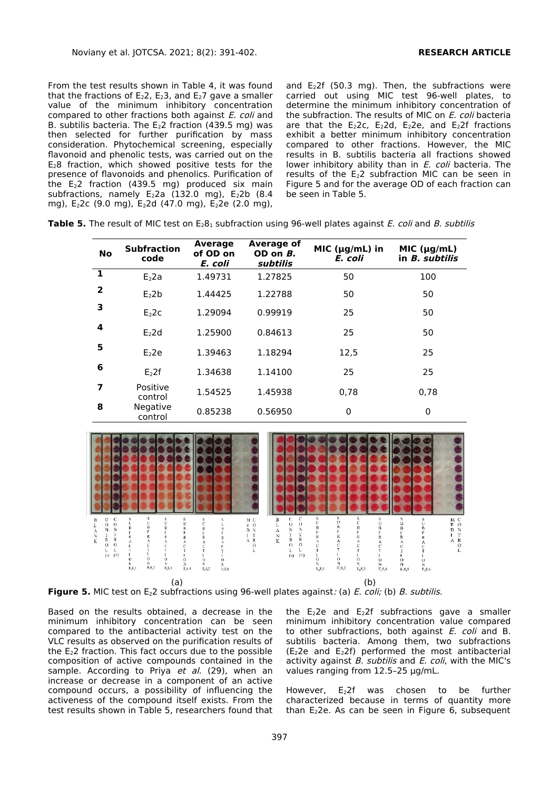From the test results shown in Table 4, it was found that the fractions of  $E_2$ 2,  $E_2$ 3, and  $E_2$ 7 gave a smaller value of the minimum inhibitory concentration compared to other fractions both against *E. coli* and B. subtilis bacteria. The  $E<sub>2</sub>2$  fraction (439.5 mg) was then selected for further purification by mass consideration. Phytochemical screening, especially flavonoid and phenolic tests, was carried out on the  $E_2$ 8 fraction, which showed positive tests for the presence of flavonoids and phenolics. Purification of the E22 fraction (439.5 mg) produced six main subfractions, namely  $\mathsf{E}_2$ 2a (132.0 mg),  $\mathsf{E}_2$ 2b (8.4 mg), E<sub>2</sub>2c (9.0 mg), E<sub>2</sub>2d (47.0 mg), E<sub>2</sub>2e (2.0 mg),

and  $E_2$ 2f (50.3 mg). Then, the subfractions were carried out using MIC test 96-well plates, to determine the minimum inhibitory concentration of the subfraction. The results of MIC on E. coli bacteria are that the  $E_2$ 2c,  $E_2$ 2d,  $E_2$ 2e, and  $E_2$ 2f fractions exhibit a better minimum inhibitory concentration compared to other fractions. However, the MIC results in B. subtilis bacteria all fractions showed lower inhibitory ability than in E. coli bacteria. The results of the  $E_2$ 2 subfraction MIC can be seen in Figure 5 and for the average OD of each fraction can be seen in Table 5.

| No | <b>Subfraction</b><br>code | Average<br>of OD on<br>E. coli | Average of<br>OD on $B$ .<br>subtilis | MIC ( $\mu$ g/mL) in<br>E. coli | MIC $(\mu q/mL)$<br>in <i>B. subtilis</i> |
|----|----------------------------|--------------------------------|---------------------------------------|---------------------------------|-------------------------------------------|
|    | r n.                       | 1 10721                        | המקר ו                                | ЕΩ                              | 1 O O                                     |

**Table 5.** The result of MIC test on E<sub>281</sub> subfraction using 96-well plates against *E. coli* and *B. subtilis* 

| NO           | code                | of OD on<br>E. coli | OD on <i>B.</i><br>subtilis | .<br>E. coli | in <i>B. subtilis</i> |
|--------------|---------------------|---------------------|-----------------------------|--------------|-----------------------|
| $\mathbf{1}$ | $E2$ 2a             | 1.49731             | 1.27825                     | 50           | 100                   |
| $\mathbf{2}$ | E <sub>2</sub> 2b   | 1.44425             | 1.22788                     | 50           | 50                    |
| 3            | E <sub>2</sub> 2c   | 1.29094             | 0.99919                     | 25           | 50                    |
| 4            | $E2$ 2d             | 1.25900             | 0.84613                     | 25           | 50                    |
| 5            | E <sub>2</sub> 2e   | 1.39463             | 1.18294                     | 12,5         | 25                    |
| 6            | E <sub>2</sub> 2f   | 1.34638             | 1.14100                     | 25           | 25                    |
| 7            | Positive<br>control | 1.54525             | 1.45938                     | 0.78         | 0.78                  |
| 8            | Negative<br>control | 0.85238             | 0.56950                     | 0            | 0                     |



**Figure 5.** MIC test on E<sub>2</sub>2 subfractions using 96-well plates against: (a) E. coli; (b) B. subtilis.

Based on the results obtained, a decrease in the minimum inhibitory concentration can be seen compared to the antibacterial activity test on the VLC results as observed on the purification results of the E22 fraction. This fact occurs due to the possible composition of active compounds contained in the sample. According to Priya et al. (29), when an increase or decrease in a component of an active compound occurs, a possibility of influencing the activeness of the compound itself exists. From the test results shown in Table 5, researchers found that the  $E_2$ 2e and  $E_2$ 2f subfractions gave a smaller minimum inhibitory concentration value compared to other subfractions, both against E. coli and B. subtilis bacteria. Among them, two subfractions  $(E<sub>2</sub>2e$  and  $E<sub>2</sub>2f)$  performed the most antibacterial activity against  $B$ . subtilis and  $E$ . coli, with the MIC's values ranging from 12.5–25 µg/mL.

However, E22f was chosen to be further characterized because in terms of quantity more than  $E<sub>2</sub>2e$ . As can be seen in Figure 6, subsequent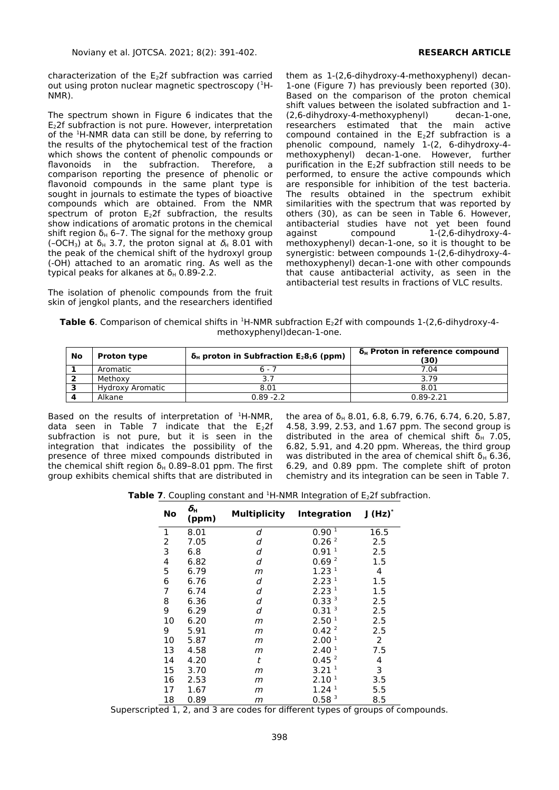characterization of the  $E<sub>2</sub>2f$  subfraction was carried out using proton nuclear magnetic spectroscopy (<sup>1</sup>H-NMR).

The spectrum shown in Figure 6 indicates that the E22f subfraction is not pure. However, interpretation of the <sup>1</sup>H-NMR data can still be done, by referring to the results of the phytochemical test of the fraction which shows the content of phenolic compounds or flavonoids in the subfraction. Therefore, a comparison reporting the presence of phenolic or flavonoid compounds in the same plant type is sought in journals to estimate the types of bioactive compounds which are obtained. From the NMR spectrum of proton  $E_2$ 2f subfraction, the results show indications of aromatic protons in the chemical shift region  $\delta_H$  6–7. The signal for the methoxy group (-OCH<sub>3</sub>) at  $\delta_H$  3.7, the proton signal at  $\delta_H$  8.01 with the peak of the chemical shift of the hydroxyl group (-OH) attached to an aromatic ring. As well as the typical peaks for alkanes at  $δ<sub>H</sub>$  0.89-2.2.

The isolation of phenolic compounds from the fruit skin of jengkol plants, and the researchers identified

them as 1-(2,6-dihydroxy-4-methoxyphenyl) decan-1-one (Figure 7) has previously been reported (30). Based on the comparison of the proton chemical shift values between the isolated subfraction and 1- (2,6-dihydroxy-4-methoxyphenyl) decan-1-one, researchers estimated that the main active compound contained in the  $E<sub>2</sub>2f$  subfraction is a phenolic compound, namely 1-(2, 6-dihydroxy-4 methoxyphenyl) decan-1-one. However, further purification in the  $E<sub>2</sub>2f$  subfraction still needs to be performed, to ensure the active compounds which are responsible for inhibition of the test bacteria. The results obtained in the spectrum exhibit similarities with the spectrum that was reported by others (30), as can be seen in Table 6. However, antibacterial studies have not yet been found against compound 1-(2,6-dihydroxy-4methoxyphenyl) decan-1-one, so it is thought to be synergistic: between compounds 1-(2,6-dihydroxy-4 methoxyphenyl) decan-1-one with other compounds that cause antibacterial activity, as seen in the antibacterial test results in fractions of VLC results.

**Table 6**. Comparison of chemical shifts in <sup>1</sup>H-NMR subfraction E<sub>2</sub>2f with compounds 1-(2,6-dihydroxy-4methoxyphenyl)decan-1-one.

| No | <b>Proton type</b> | $\delta_{H}$ proton in Subfraction E <sub>2</sub> 8 <sub>1</sub> 6 (ppm) | $\delta_{\rm H}$ Proton in reference compound<br>(30) |
|----|--------------------|--------------------------------------------------------------------------|-------------------------------------------------------|
|    | Aromatic           | $6 - 7$                                                                  | 7.04                                                  |
|    | Methoxy            | 3.7                                                                      | 3.79                                                  |
|    | Hydroxy Aromatic   | 8.01                                                                     | 8.01                                                  |
|    | Alkane             | $0.89 - 2.2$                                                             | $0.89 - 2.21$                                         |

Based on the results of interpretation of  $H-MMR$ , data seen in Table 7 indicate that the  $\mathsf{E}_2$ 2f subfraction is not pure, but it is seen in the integration that indicates the possibility of the presence of three mixed compounds distributed in the chemical shift region  $δ_H$  0.89-8.01 ppm. The first group exhibits chemical shifts that are distributed in

the area of  $\delta_H$  8.01, 6.8, 6.79, 6.76, 6.74, 6.20, 5.87, 4.58, 3.99, 2.53, and 1.67 ppm. The second group is distributed in the area of chemical shift  $\delta_H$  7.05, 6.82, 5.91, and 4.20 ppm. Whereas, the third group was distributed in the area of chemical shift  $δ_H$  6.36, 6.29, and 0.89 ppm. The complete shift of proton chemistry and its integration can be seen in Table 7.

**Table 7**. Coupling constant and <sup>1</sup>H-NMR Integration of E<sub>2</sub>2f subfraction.

| No | Ōн<br>(ppm) | Multiplicity | Integration       | $J(Hz)^*$ |
|----|-------------|--------------|-------------------|-----------|
| 1  | 8.01        | d            | 0.90 <sup>1</sup> | 16.5      |
| 2  | 7.05        | d            | 0.26 <sup>2</sup> | 2.5       |
| 3  | 6.8         | d            | 0.91 <sup>1</sup> | 2.5       |
| 4  | 6.82        | d            | 0.69 <sup>2</sup> | 1.5       |
| 5  | 6.79        | m            | 1.23 <sup>1</sup> | 4         |
| 6  | 6.76        | d            | 2.23 <sup>1</sup> | 1.5       |
| 7  | 6.74        | d            | 2.23 <sup>1</sup> | 1.5       |
| 8  | 6.36        | d            | 0.33 <sup>3</sup> | 2.5       |
| 9  | 6.29        | d            | 0.31 <sup>3</sup> | 2.5       |
| 10 | 6.20        | m            | 2.50 <sup>1</sup> | 2.5       |
| 9  | 5.91        | m            | 0.42 <sup>2</sup> | 2.5       |
| 10 | 5.87        | m            | 2.00 <sup>1</sup> | 2         |
| 13 | 4.58        | m            | 2.40 <sup>1</sup> | 7.5       |
| 14 | 4.20        | t            | 0.45 <sup>2</sup> | 4         |
| 15 | 3.70        | m            | 3.21 <sup>1</sup> | 3         |
| 16 | 2.53        | m            | 2.10 <sup>1</sup> | 3.5       |
| 17 | 1.67        | m            | 1.24 <sup>1</sup> | 5.5       |
| 18 | 0.89        | m            | 0.58 <sup>3</sup> | 8.5       |

Superscripted 1, 2, and 3 are codes for different types of groups of compounds.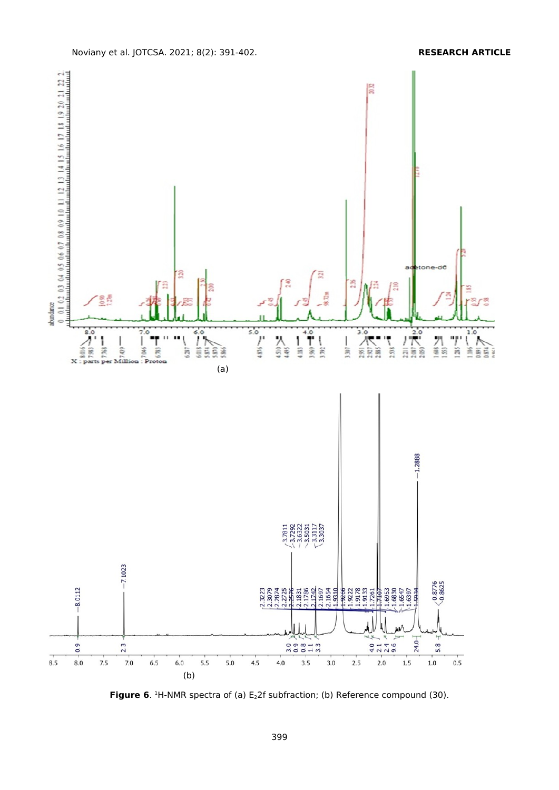

**Figure 6.** <sup>1</sup>H-NMR spectra of (a) E<sub>2</sub>2f subfraction; (b) Reference compound (30).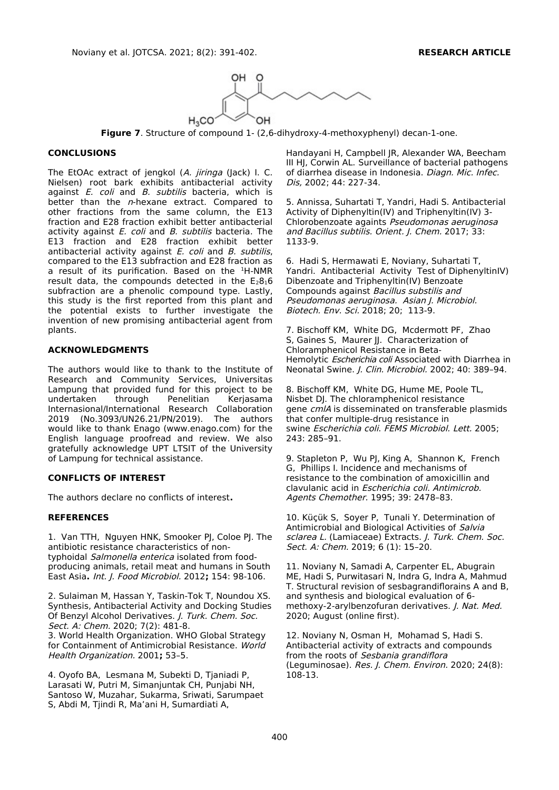

**Figure 7**. Structure of compound 1- (2,6-dihydroxy-4-methoxyphenyl) decan-1-one.

#### **CONCLUSIONS**

The EtOAc extract of jengkol (A. jiringa (Jack) I. C. Nielsen) root bark exhibits antibacterial activity against *E. coli* and *B. subtilis* bacteria, which is better than the n-hexane extract. Compared to other fractions from the same column, the E13 fraction and E28 fraction exhibit better antibacterial activity against  $E.$  coli and  $B.$  subtilis bacteria. The E13 fraction and E28 fraction exhibit better antibacterial activity against  $E$ . coli and  $B$ . subtilis, compared to the E13 subfraction and E28 fraction as a result of its purification. Based on the  $^1$ H-NMR result data, the compounds detected in the  $E_28_16$ subfraction are a phenolic compound type. Lastly, this study is the first reported from this plant and the potential exists to further investigate the invention of new promising antibacterial agent from plants.

#### **ACKNOWLEDGMENTS**

The authors would like to thank to the Institute of Research and Community Services, Universitas Lampung that provided fund for this project to be undertaken through Penelitian Kerjasama Internasional/International Research Collaboration 2019 (No.3093/UN26.21/PN/2019). The authors would like to thank Enago (www.enago.com) for the English language proofread and review. We also gratefully acknowledge UPT LTSIT of the University of Lampung for technical assistance.

#### **CONFLICTS OF INTEREST**

The authors declare no conflicts of interest**.**

### **REFERENCES**

1. Van TTH, Nguyen HNK, Smooker PJ, Coloe PJ. The antibiotic resistance characteristics of nontyphoidal Salmonella enterica isolated from foodproducing animals, retail meat and humans in South East Asia**.** Int. J. Food Microbiol. 2012**;** 154: 98-106.

2. Sulaiman M, Hassan Y, Taskin-Tok T, Noundou XS. Synthesis, Antibacterial Activity and Docking Studies Of Benzyl Alcohol Derivatives. J. Turk. Chem. Soc. Sect. A: Chem. 2020; 7(2): 481-8.

3. World Health Organization. WHO Global Strategy for Containment of Antimicrobial Resistance. World Health Organization. 2001**;** 53–5.

4. Oyofo BA, Lesmana M, Subekti D, Tjaniadi P, Larasati W, Putri M, Simanjuntak CH, Punjabi NH, Santoso W, Muzahar, Sukarma, Sriwati, Sarumpaet S, Abdi M, Tjindi R, Ma'ani H, Sumardiati A,

Handayani H, Campbell JR, Alexander WA, Beecham III HJ, Corwin AL. Surveillance of bacterial pathogens of diarrhea disease in Indonesia. Diagn. Mic. Infec. Dis, 2002; 44: 227-34.

5. Annissa, Suhartati T, Yandri, Hadi S. Antibacterial Activity of Diphenyltin(IV) and Triphenyltin(IV) 3- Chlorobenzoate againts Pseudomonas aeruginosa and Bacillus subtilis. Orient. J. Chem. 2017; 33: 1133-9.

6. Hadi S, Hermawati E, Noviany, Suhartati T, Yandri. Antibacterial Activity Test of DiphenyltinIV) Dibenzoate and Triphenyltin(IV) Benzoate Compounds against Bacillus substilis and Pseudomonas aeruginosa. Asian J. Microbiol. Biotech. Env. Sci. 2018; 20; 113-9.

7. Bischoff KM, White DG, Mcdermott PF, Zhao S, Gaines S, Maurer II. Characterization of Chloramphenicol Resistance in Beta-Hemolytic Escherichia coli Associated with Diarrhea in Neonatal Swine. J. Clin. Microbiol. 2002; 40: 389–94.

8. Bischoff KM, White DG, Hume ME, Poole TL, Nisbet DJ. The chloramphenicol resistance gene cmlA is disseminated on transferable plasmids that confer multiple-drug resistance in swine Escherichia coli. FEMS Microbiol. Lett. 2005; 243: 285–91.

9. Stapleton P, Wu PJ, King A, Shannon K, French G, Phillips I. Incidence and mechanisms of resistance to the combination of amoxicillin and clavulanic acid in Escherichia coli. Antimicrob. Agents Chemother. 1995; 39: 2478–83.

10. Küçük S, Soyer P, Tunali Y. Determination of Antimicrobial and Biological Activities of Salvia sclarea L. (Lamiaceae) Extracts. J. Turk. Chem. Soc. Sect. A: Chem. 2019; 6 (1): 15–20.

11. Noviany N, Samadi A, Carpenter EL, Abugrain ME, Hadi S, Purwitasari N, Indra G, Indra A, Mahmud T. Structural revision of sesbagrandiflorains A and B, and synthesis and biological evaluation of 6 methoxy-2-arylbenzofuran derivatives. J. Nat. Med. 2020; August (online first).

12. Noviany N, Osman [H,](https://www.scopus.com/authid/detail.uri?authorId=57205288200) [Mo](https://www.scopus.com/authid/detail.uri?authorId=57219869771)hamad S, [Hadi S.](https://www.scopus.com/authid/detail.uri?authorId=57219870824) Antibacterial activity of extracts and compounds from the roots of Sesbania grandiflora (Leguminosae). Res. J. Chem. Environ. 2020; 24(8): 108-13.